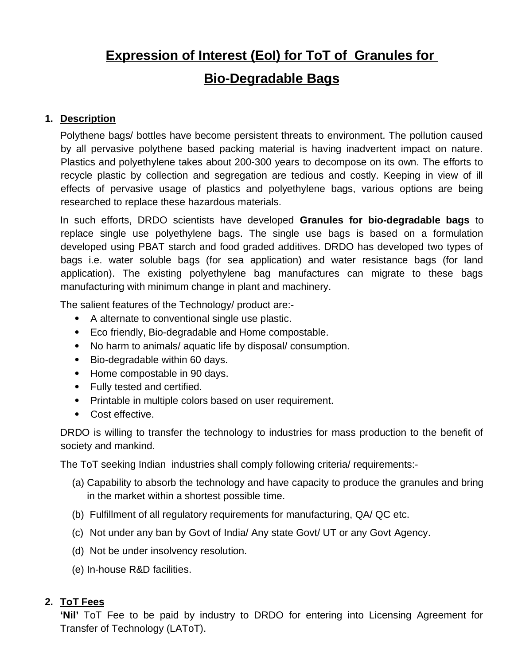# **Expression of Interest (EoI) for ToT of Granules for Bio-Degradable Bags**

#### **1. Description**

Polythene bags/ bottles have become persistent threats to environment. The pollution caused by all pervasive polythene based packing material is having inadvertent impact on nature. Plastics and polyethylene takes about 200-300 years to decompose on its own. The efforts to recycle plastic by collection and segregation are tedious and costly. Keeping in view of ill effects of pervasive usage of plastics and polyethylene bags, various options are being researched to replace these hazardous materials.

In such efforts, DRDO scientists have developed **Granules for bio-degradable bags** to replace single use polyethylene bags. The single use bags is based on a formulation developed using PBAT starch and food graded additives. DRDO has developed two types of bags i.e. water soluble bags (for sea application) and water resistance bags (for land application). The existing polyethylene bag manufactures can migrate to these bags manufacturing with minimum change in plant and machinery.

The salient features of the Technology/ product are:-

- A alternate to conventional single use plastic.
- Eco friendly, Bio-degradable and Home compostable.
- No harm to animals/ aquatic life by disposal/ consumption.
- Bio-degradable within 60 days.
- Home compostable in 90 days.
- Fully tested and certified.
- Printable in multiple colors based on user requirement.
- Cost effective.

DRDO is willing to transfer the technology to industries for mass production to the benefit of society and mankind.

The ToT seeking Indian industries shall comply following criteria/ requirements:-

- (a) Capability to absorb the technology and have capacity to produce the granules and bring in the market within a shortest possible time.
- (b) Fulfillment of all regulatory requirements for manufacturing, QA/ QC etc.
- (c) Not under any ban by Govt of India/ Any state Govt/ UT or any Govt Agency.
- (d) Not be under insolvency resolution.
- (e) In-house R&D facilities.

# **2. ToT Fees**

**'Nil'** ToT Fee to be paid by industry to DRDO for entering into Licensing Agreement for Transfer of Technology (LAToT).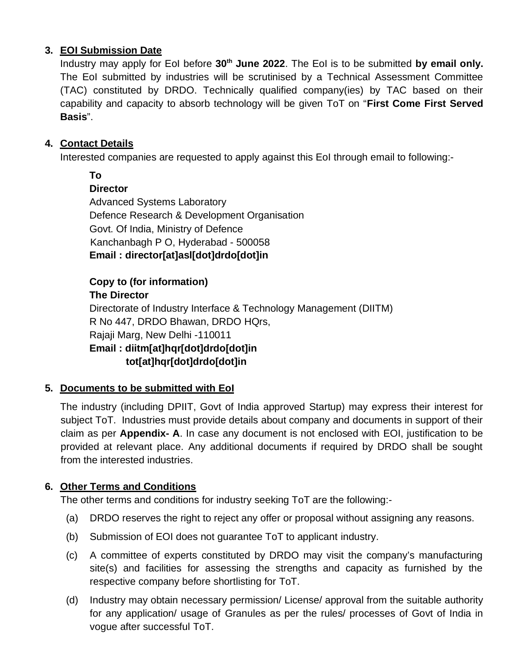# **3. EOI Submission Date**

Industry may apply for EoI before **30th June 2022**. The EoI is to be submitted **by email only.** The EoI submitted by industries will be scrutinised by a Technical Assessment Committee (TAC) constituted by DRDO. Technically qualified company(ies) by TAC based on their capability and capacity to absorb technology will be given ToT on "**First Come First Served Basis**".

# **4. Contact Details**

Interested companies are requested to apply against this EoI through email to following:-

**To Director** Advanced Systems Laboratory Defence Research & Development Organisation Govt. Of India, Ministry of Defence Kanchanbagh P O, Hyderabad - 500058 **Email : director[at]asl[dot]drdo[dot]in**

**Copy to (for information) The Director** Directorate of Industry Interface & Technology Management (DIITM) R No 447, DRDO Bhawan, DRDO HQrs, Rajaji Marg, New Delhi -110011 **Email : diitm[at]hqr[dot]drdo[dot]in tot[at]hqr[dot]drdo[dot]in**

# **5. Documents to be submitted with EoI**

The industry (including DPIIT, Govt of India approved Startup) may express their interest for subject ToT. Industries must provide details about company and documents in support of their claim as per **Appendix- A**. In case any document is not enclosed with EOI, justification to be provided at relevant place. Any additional documents if required by DRDO shall be sought from the interested industries.

# **6. Other Terms and Conditions**

The other terms and conditions for industry seeking ToT are the following:-

- (a) DRDO reserves the right to reject any offer or proposal without assigning any reasons.
- (b) Submission of EOI does not guarantee ToT to applicant industry.
- (c) A committee of experts constituted by DRDO may visit the company's manufacturing site(s) and facilities for assessing the strengths and capacity as furnished by the respective company before shortlisting for ToT.
- (d) Industry may obtain necessary permission/ License/ approval from the suitable authority for any application/ usage of Granules as per the rules/ processes of Govt of India in vogue after successful ToT.